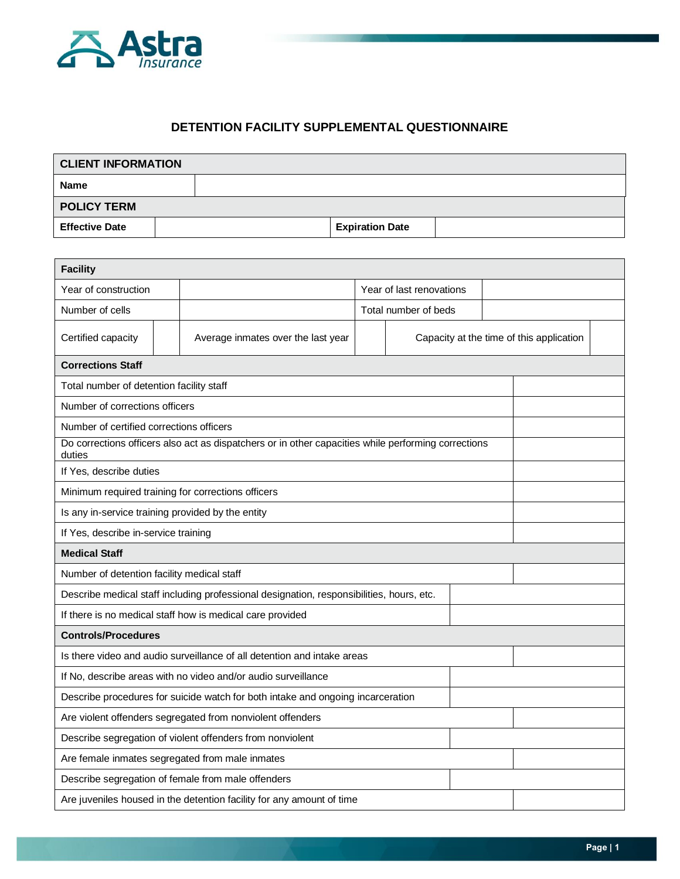

## **DETENTION FACILITY SUPPLEMENTAL QUESTIONNAIRE**

| <b>CLIENT INFORMATION</b> |  |  |                        |  |  |  |  |
|---------------------------|--|--|------------------------|--|--|--|--|
| <b>Name</b>               |  |  |                        |  |  |  |  |
| <b>POLICY TERM</b>        |  |  |                        |  |  |  |  |
| <b>Effective Date</b>     |  |  | <b>Expiration Date</b> |  |  |  |  |

| <b>Facility</b>                                                                                               |  |                                                                       |                          |                                          |  |  |  |  |
|---------------------------------------------------------------------------------------------------------------|--|-----------------------------------------------------------------------|--------------------------|------------------------------------------|--|--|--|--|
| Year of construction                                                                                          |  |                                                                       | Year of last renovations |                                          |  |  |  |  |
| Number of cells                                                                                               |  |                                                                       |                          | Total number of beds                     |  |  |  |  |
| Certified capacity                                                                                            |  | Average inmates over the last year                                    |                          | Capacity at the time of this application |  |  |  |  |
| <b>Corrections Staff</b>                                                                                      |  |                                                                       |                          |                                          |  |  |  |  |
| Total number of detention facility staff                                                                      |  |                                                                       |                          |                                          |  |  |  |  |
| Number of corrections officers                                                                                |  |                                                                       |                          |                                          |  |  |  |  |
| Number of certified corrections officers                                                                      |  |                                                                       |                          |                                          |  |  |  |  |
| Do corrections officers also act as dispatchers or in other capacities while performing corrections<br>duties |  |                                                                       |                          |                                          |  |  |  |  |
| If Yes, describe duties                                                                                       |  |                                                                       |                          |                                          |  |  |  |  |
| Minimum required training for corrections officers                                                            |  |                                                                       |                          |                                          |  |  |  |  |
| Is any in-service training provided by the entity                                                             |  |                                                                       |                          |                                          |  |  |  |  |
| If Yes, describe in-service training                                                                          |  |                                                                       |                          |                                          |  |  |  |  |
| <b>Medical Staff</b>                                                                                          |  |                                                                       |                          |                                          |  |  |  |  |
| Number of detention facility medical staff                                                                    |  |                                                                       |                          |                                          |  |  |  |  |
| Describe medical staff including professional designation, responsibilities, hours, etc.                      |  |                                                                       |                          |                                          |  |  |  |  |
| If there is no medical staff how is medical care provided                                                     |  |                                                                       |                          |                                          |  |  |  |  |
| <b>Controls/Procedures</b>                                                                                    |  |                                                                       |                          |                                          |  |  |  |  |
| Is there video and audio surveillance of all detention and intake areas                                       |  |                                                                       |                          |                                          |  |  |  |  |
| If No, describe areas with no video and/or audio surveillance                                                 |  |                                                                       |                          |                                          |  |  |  |  |
| Describe procedures for suicide watch for both intake and ongoing incarceration                               |  |                                                                       |                          |                                          |  |  |  |  |
| Are violent offenders segregated from nonviolent offenders                                                    |  |                                                                       |                          |                                          |  |  |  |  |
|                                                                                                               |  | Describe segregation of violent offenders from nonviolent             |                          |                                          |  |  |  |  |
| Are female inmates segregated from male inmates                                                               |  |                                                                       |                          |                                          |  |  |  |  |
| Describe segregation of female from male offenders                                                            |  |                                                                       |                          |                                          |  |  |  |  |
|                                                                                                               |  | Are juveniles housed in the detention facility for any amount of time |                          |                                          |  |  |  |  |